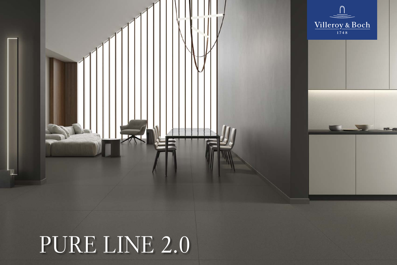## PURE LINE 2.0